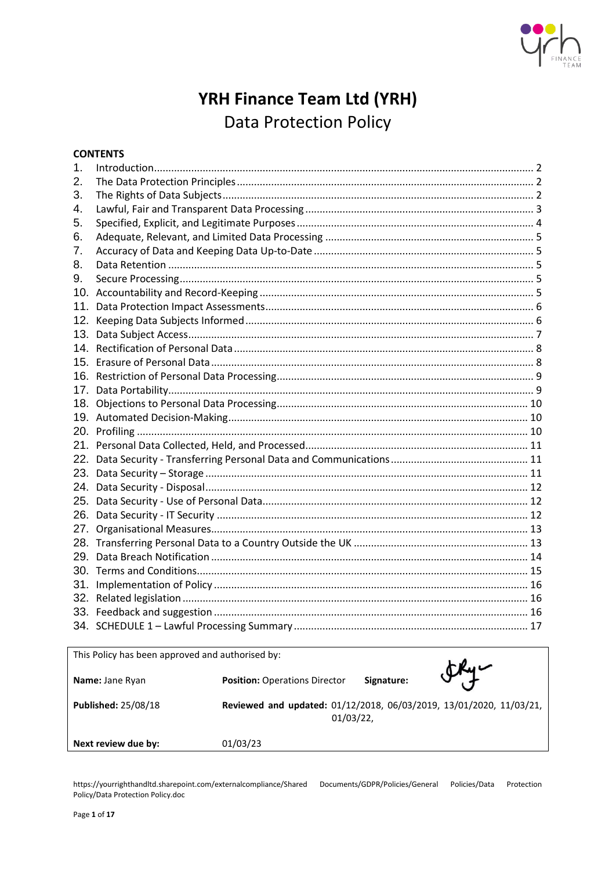

# YRH Finance Team Ltd (YRH) **Data Protection Policy**

## **CONTENTS**

| 1.  |  |
|-----|--|
| 2.  |  |
| 3.  |  |
| 4.  |  |
| 5.  |  |
| 6.  |  |
| 7.  |  |
| 8.  |  |
| 9.  |  |
| 10. |  |
| 11. |  |
| 12. |  |
| 13. |  |
|     |  |
|     |  |
|     |  |
| 17. |  |
| 18. |  |
|     |  |
|     |  |
|     |  |
| 22. |  |
| 23. |  |
| 24. |  |
|     |  |
| 26. |  |
| 27. |  |
|     |  |
|     |  |
|     |  |
| 31. |  |
| 32. |  |
|     |  |
|     |  |

| This Policy has been approved and authorised by: |                                                                                 |            |               |  |
|--------------------------------------------------|---------------------------------------------------------------------------------|------------|---------------|--|
| Name: Jane Ryan                                  | <b>Position: Operations Director</b>                                            | Signature: | $\mathcal{F}$ |  |
| <b>Published: 25/08/18</b>                       | Reviewed and updated: 01/12/2018, 06/03/2019, 13/01/2020, 11/03/21,<br>01/03/22 |            |               |  |
| Next review due by:                              | 01/03/23                                                                        |            |               |  |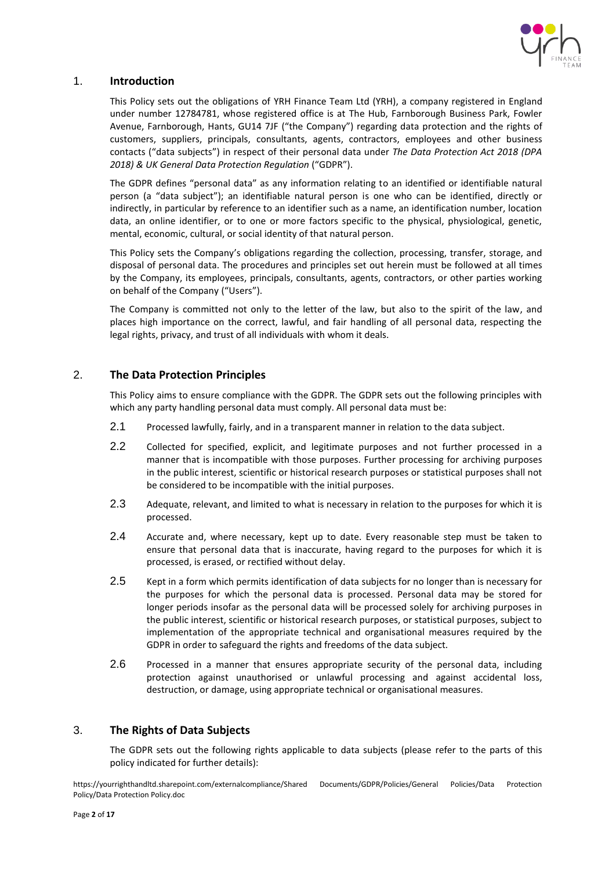

## <span id="page-1-0"></span>1. **Introduction**

This Policy sets out the obligations of YRH Finance Team Ltd (YRH), a company registered in England under number 12784781, whose registered office is at The Hub, Farnborough Business Park, Fowler Avenue, Farnborough, Hants, GU14 7JF ("the Company") regarding data protection and the rights of customers, suppliers, principals, consultants, agents, contractors, employees and other business contacts ("data subjects") in respect of their personal data under *The Data Protection Act 2018 (DPA 2018) & UK General Data Protection Regulation* ("GDPR").

The GDPR defines "personal data" as any information relating to an identified or identifiable natural person (a "data subject"); an identifiable natural person is one who can be identified, directly or indirectly, in particular by reference to an identifier such as a name, an identification number, location data, an online identifier, or to one or more factors specific to the physical, physiological, genetic, mental, economic, cultural, or social identity of that natural person.

This Policy sets the Company's obligations regarding the collection, processing, transfer, storage, and disposal of personal data. The procedures and principles set out herein must be followed at all times by the Company, its employees, principals, consultants, agents, contractors, or other parties working on behalf of the Company ("Users").

The Company is committed not only to the letter of the law, but also to the spirit of the law, and places high importance on the correct, lawful, and fair handling of all personal data, respecting the legal rights, privacy, and trust of all individuals with whom it deals.

## <span id="page-1-1"></span>2. **The Data Protection Principles**

This Policy aims to ensure compliance with the GDPR. The GDPR sets out the following principles with which any party handling personal data must comply. All personal data must be:

- 2.1 Processed lawfully, fairly, and in a transparent manner in relation to the data subject.
- 2.2 Collected for specified, explicit, and legitimate purposes and not further processed in a manner that is incompatible with those purposes. Further processing for archiving purposes in the public interest, scientific or historical research purposes or statistical purposes shall not be considered to be incompatible with the initial purposes.
- 2.3 Adequate, relevant, and limited to what is necessary in relation to the purposes for which it is processed.
- 2.4 Accurate and, where necessary, kept up to date. Every reasonable step must be taken to ensure that personal data that is inaccurate, having regard to the purposes for which it is processed, is erased, or rectified without delay.
- 2.5 Kept in a form which permits identification of data subjects for no longer than is necessary for the purposes for which the personal data is processed. Personal data may be stored for longer periods insofar as the personal data will be processed solely for archiving purposes in the public interest, scientific or historical research purposes, or statistical purposes, subject to implementation of the appropriate technical and organisational measures required by the GDPR in order to safeguard the rights and freedoms of the data subject.
- 2.6 Processed in a manner that ensures appropriate security of the personal data, including protection against unauthorised or unlawful processing and against accidental loss, destruction, or damage, using appropriate technical or organisational measures.

## <span id="page-1-2"></span>3. **The Rights of Data Subjects**

The GDPR sets out the following rights applicable to data subjects (please refer to the parts of this policy indicated for further details):

https://yourrighthandltd.sharepoint.com/externalcompliance/Shared Documents/GDPR/Policies/General Policies/Data Protection Policy/Data Protection Policy.doc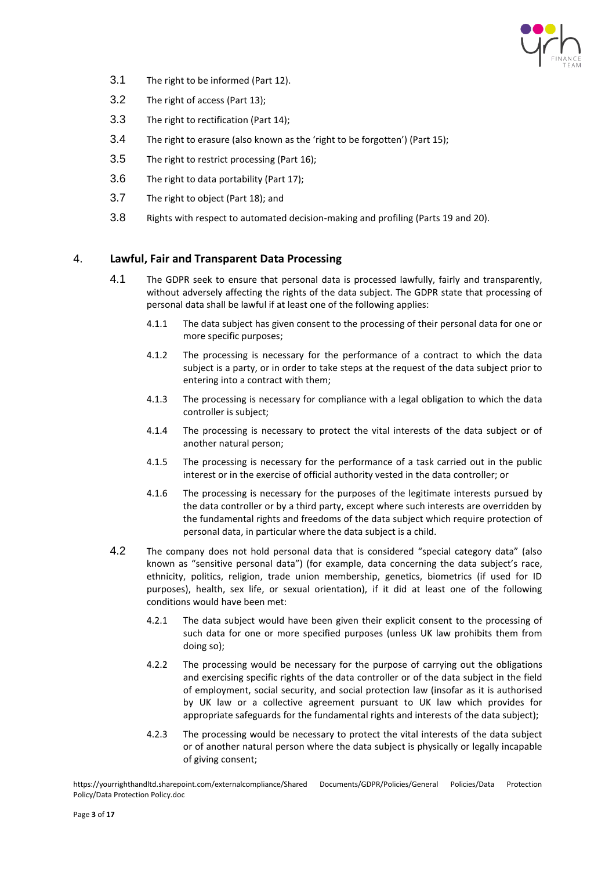

- 3.1 The right to be informed (Part 12).
- 3.2 The right of access (Part 13);
- 3.3 The right to rectification (Part 14);
- 3.4 The right to erasure (also known as the 'right to be forgotten') (Part 15);
- 3.5 The right to restrict processing (Part 16);
- 3.6 The right to data portability (Part 17);
- 3.7 The right to object (Part 18); and
- 3.8 Rights with respect to automated decision-making and profiling (Parts 19 and 20).

## <span id="page-2-0"></span>4. **Lawful, Fair and Transparent Data Processing**

- 4.1 The GDPR seek to ensure that personal data is processed lawfully, fairly and transparently, without adversely affecting the rights of the data subject. The GDPR state that processing of personal data shall be lawful if at least one of the following applies:
	- 4.1.1 The data subject has given consent to the processing of their personal data for one or more specific purposes;
	- 4.1.2 The processing is necessary for the performance of a contract to which the data subject is a party, or in order to take steps at the request of the data subject prior to entering into a contract with them;
	- 4.1.3 The processing is necessary for compliance with a legal obligation to which the data controller is subject;
	- 4.1.4 The processing is necessary to protect the vital interests of the data subject or of another natural person;
	- 4.1.5 The processing is necessary for the performance of a task carried out in the public interest or in the exercise of official authority vested in the data controller; or
	- 4.1.6 The processing is necessary for the purposes of the legitimate interests pursued by the data controller or by a third party, except where such interests are overridden by the fundamental rights and freedoms of the data subject which require protection of personal data, in particular where the data subject is a child.
- 4.2 The company does not hold personal data that is considered "special category data" (also known as "sensitive personal data") (for example, data concerning the data subject's race, ethnicity, politics, religion, trade union membership, genetics, biometrics (if used for ID purposes), health, sex life, or sexual orientation), if it did at least one of the following conditions would have been met:
	- 4.2.1 The data subject would have been given their explicit consent to the processing of such data for one or more specified purposes (unless UK law prohibits them from doing so);
	- 4.2.2 The processing would be necessary for the purpose of carrying out the obligations and exercising specific rights of the data controller or of the data subject in the field of employment, social security, and social protection law (insofar as it is authorised by UK law or a collective agreement pursuant to UK law which provides for appropriate safeguards for the fundamental rights and interests of the data subject);
	- 4.2.3 The processing would be necessary to protect the vital interests of the data subject or of another natural person where the data subject is physically or legally incapable of giving consent;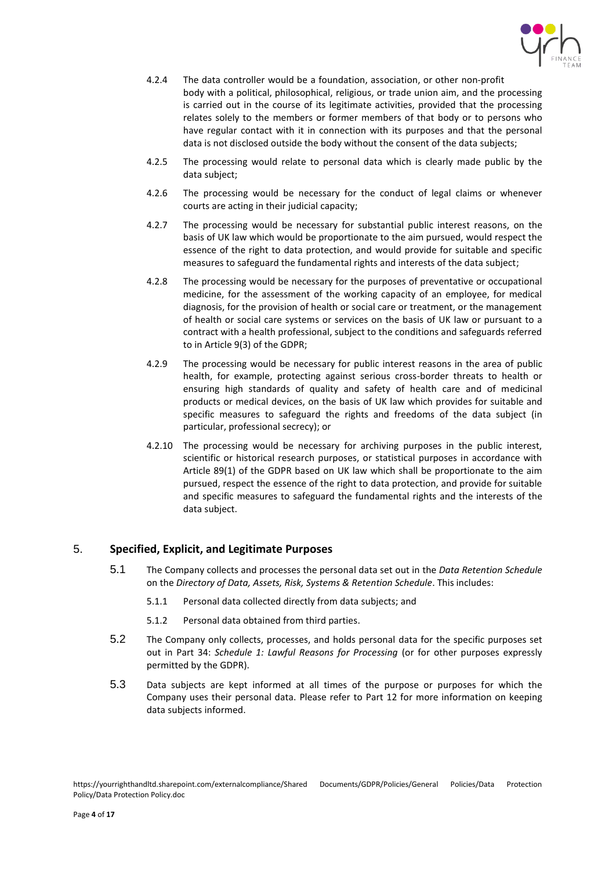

- 4.2.4 The data controller would be a foundation, association, or other non-profit body with a political, philosophical, religious, or trade union aim, and the processing is carried out in the course of its legitimate activities, provided that the processing relates solely to the members or former members of that body or to persons who have regular contact with it in connection with its purposes and that the personal data is not disclosed outside the body without the consent of the data subjects;
- 4.2.5 The processing would relate to personal data which is clearly made public by the data subject;
- 4.2.6 The processing would be necessary for the conduct of legal claims or whenever courts are acting in their judicial capacity;
- 4.2.7 The processing would be necessary for substantial public interest reasons, on the basis of UK law which would be proportionate to the aim pursued, would respect the essence of the right to data protection, and would provide for suitable and specific measures to safeguard the fundamental rights and interests of the data subject;
- 4.2.8 The processing would be necessary for the purposes of preventative or occupational medicine, for the assessment of the working capacity of an employee, for medical diagnosis, for the provision of health or social care or treatment, or the management of health or social care systems or services on the basis of UK law or pursuant to a contract with a health professional, subject to the conditions and safeguards referred to in Article 9(3) of the GDPR;
- 4.2.9 The processing would be necessary for public interest reasons in the area of public health, for example, protecting against serious cross-border threats to health or ensuring high standards of quality and safety of health care and of medicinal products or medical devices, on the basis of UK law which provides for suitable and specific measures to safeguard the rights and freedoms of the data subject (in particular, professional secrecy); or
- 4.2.10 The processing would be necessary for archiving purposes in the public interest, scientific or historical research purposes, or statistical purposes in accordance with Article 89(1) of the GDPR based on UK law which shall be proportionate to the aim pursued, respect the essence of the right to data protection, and provide for suitable and specific measures to safeguard the fundamental rights and the interests of the data subject.

## <span id="page-3-0"></span>5. **Specified, Explicit, and Legitimate Purposes**

- 5.1 The Company collects and processes the personal data set out in the *Data Retention Schedule* on the *[Directory of Data, Assets, Risk, Systems & Retention Schedule](https://yourrighthandltd.sharepoint.com/central/Documents/6.%20GDPR%20PROJECT/1.%20Policy%20&%20Directories%20&%20Data%20Mapping/Data%20Mapping%20&%20Directory%20of%20Systems/Directories%20of%20Data%20and%20Assets%20and%20Risk%20and%20Systems%20and%20Retention%20Schedule.xlsx)*. This includes:
	- 5.1.1 Personal data collected directly from data subjects; and
	- 5.1.2 Personal data obtained from third parties.
- 5.2 The Company only collects, processes, and holds personal data for the specific purposes set out in Part 34: *Schedule 1: Lawful Reasons for Processing* (or for other purposes expressly permitted by the GDPR).
- 5.3 Data subjects are kept informed at all times of the purpose or purposes for which the Company uses their personal data. Please refer to Part 12 for more information on keeping data subjects informed.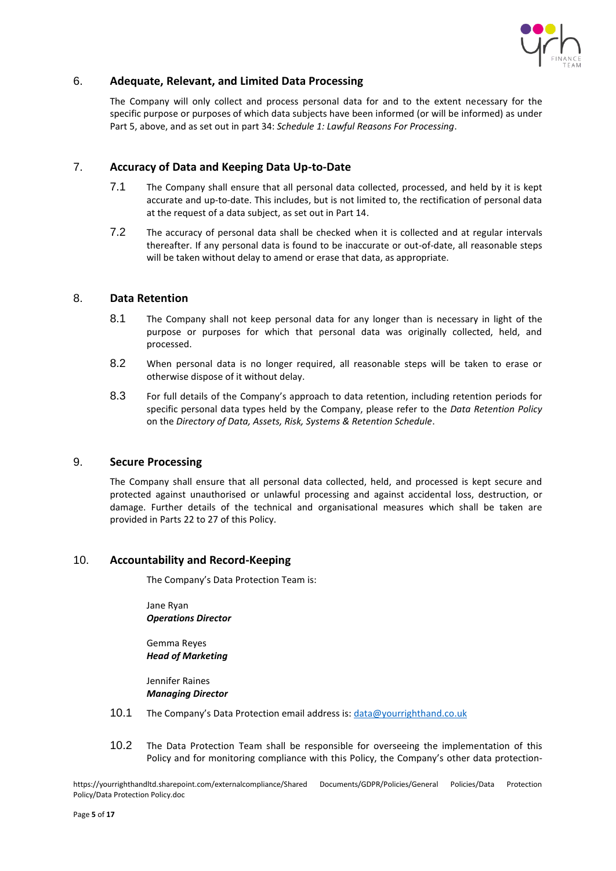

## <span id="page-4-0"></span>6. **Adequate, Relevant, and Limited Data Processing**

The Company will only collect and process personal data for and to the extent necessary for the specific purpose or purposes of which data subjects have been informed (or will be informed) as under Part 5, above, and as set out in part 34: *Schedule 1: Lawful Reasons For Processing*.

## <span id="page-4-1"></span>7. **Accuracy of Data and Keeping Data Up-to-Date**

- 7.1 The Company shall ensure that all personal data collected, processed, and held by it is kept accurate and up-to-date. This includes, but is not limited to, the rectification of personal data at the request of a data subject, as set out in Part 14.
- 7.2 The accuracy of personal data shall be checked when it is collected and at regular intervals thereafter. If any personal data is found to be inaccurate or out-of-date, all reasonable steps will be taken without delay to amend or erase that data, as appropriate.

## <span id="page-4-2"></span>8. **Data Retention**

- 8.1 The Company shall not keep personal data for any longer than is necessary in light of the purpose or purposes for which that personal data was originally collected, held, and processed.
- 8.2 When personal data is no longer required, all reasonable steps will be taken to erase or otherwise dispose of it without delay.
- 8.3 For full details of the Company's approach to data retention, including retention periods for specific personal data types held by the Company, please refer to the *Data Retention Policy* on the *[Directory of Data, Assets, Risk, Systems & Retention Schedule](https://yourrighthandltd.sharepoint.com/central/Documents/6.%20GDPR%20PROJECT/1.%20Policy%20&%20Directories%20&%20Data%20Mapping/Data%20Mapping%20&%20Directory%20of%20Systems/Directories%20of%20Data%20and%20Assets%20and%20Risk%20and%20Systems%20and%20Retention%20Schedule.xlsx)*.

## <span id="page-4-3"></span>9. **Secure Processing**

The Company shall ensure that all personal data collected, held, and processed is kept secure and protected against unauthorised or unlawful processing and against accidental loss, destruction, or damage. Further details of the technical and organisational measures which shall be taken are provided in Parts 22 to 27 of this Policy.

## <span id="page-4-4"></span>10. **Accountability and Record-Keeping**

The Company's Data Protection Team is:

Jane Ryan *Operations Director*

Gemma Reyes *Head of Marketing* 

Jennifer Raines *Managing Director*

- 10.1 The Company's Data Protection email address is: [data@yourrighthand.co.uk](mailto:data@yourrighthand.co.uk)
- 10.2 The Data Protection Team shall be responsible for overseeing the implementation of this Policy and for monitoring compliance with this Policy, the Company's other data protection-

https://yourrighthandltd.sharepoint.com/externalcompliance/Shared Documents/GDPR/Policies/General Policies/Data Protection Policy/Data Protection Policy.doc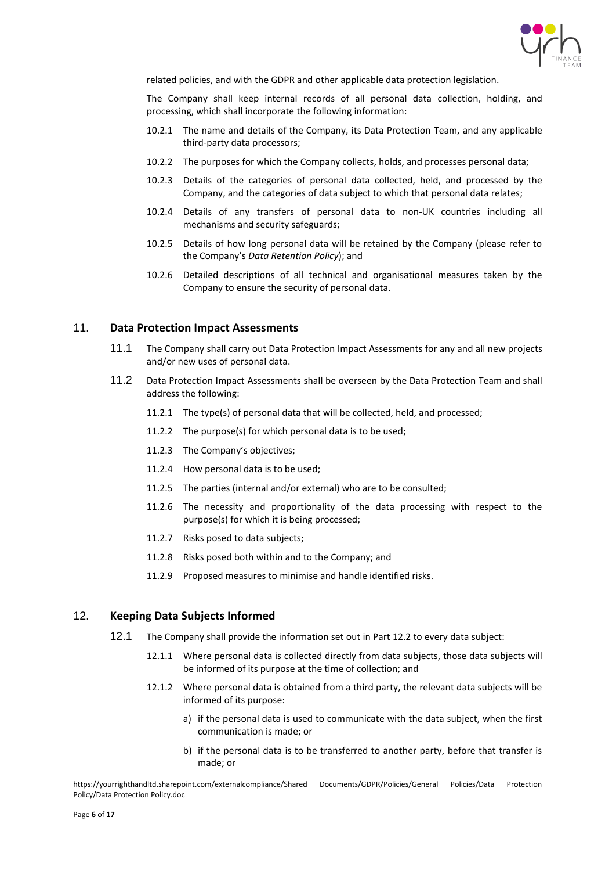

related policies, and with the GDPR and other applicable data protection legislation.

The Company shall keep internal records of all personal data collection, holding, and processing, which shall incorporate the following information:

- 10.2.1 The name and details of the Company, its Data Protection Team, and any applicable third-party data processors;
- 10.2.2 The purposes for which the Company collects, holds, and processes personal data;
- 10.2.3 Details of the categories of personal data collected, held, and processed by the Company, and the categories of data subject to which that personal data relates;
- 10.2.4 Details of any transfers of personal data to non-UK countries including all mechanisms and security safeguards;
- 10.2.5 Details of how long personal data will be retained by the Company (please refer to the Company's *Data Retention Policy*); and
- 10.2.6 Detailed descriptions of all technical and organisational measures taken by the Company to ensure the security of personal data.

#### <span id="page-5-0"></span>11. **Data Protection Impact Assessments**

- 11.1 The Company shall carry out Data Protection Impact Assessments for any and all new projects and/or new uses of personal data.
- 11.2 Data Protection Impact Assessments shall be overseen by the Data Protection Team and shall address the following:
	- 11.2.1 The type(s) of personal data that will be collected, held, and processed;
	- 11.2.2 The purpose(s) for which personal data is to be used;
	- 11.2.3 The Company's objectives;
	- 11.2.4 How personal data is to be used;
	- 11.2.5 The parties (internal and/or external) who are to be consulted;
	- 11.2.6 The necessity and proportionality of the data processing with respect to the purpose(s) for which it is being processed;
	- 11.2.7 Risks posed to data subjects;
	- 11.2.8 Risks posed both within and to the Company; and
	- 11.2.9 Proposed measures to minimise and handle identified risks.

## <span id="page-5-1"></span>12. **Keeping Data Subjects Informed**

- 12.1 The Company shall provide the information set out in Part 12.2 to every data subject:
	- 12.1.1 Where personal data is collected directly from data subjects, those data subjects will be informed of its purpose at the time of collection; and
	- 12.1.2 Where personal data is obtained from a third party, the relevant data subjects will be informed of its purpose:
		- a) if the personal data is used to communicate with the data subject, when the first communication is made; or
		- b) if the personal data is to be transferred to another party, before that transfer is made; or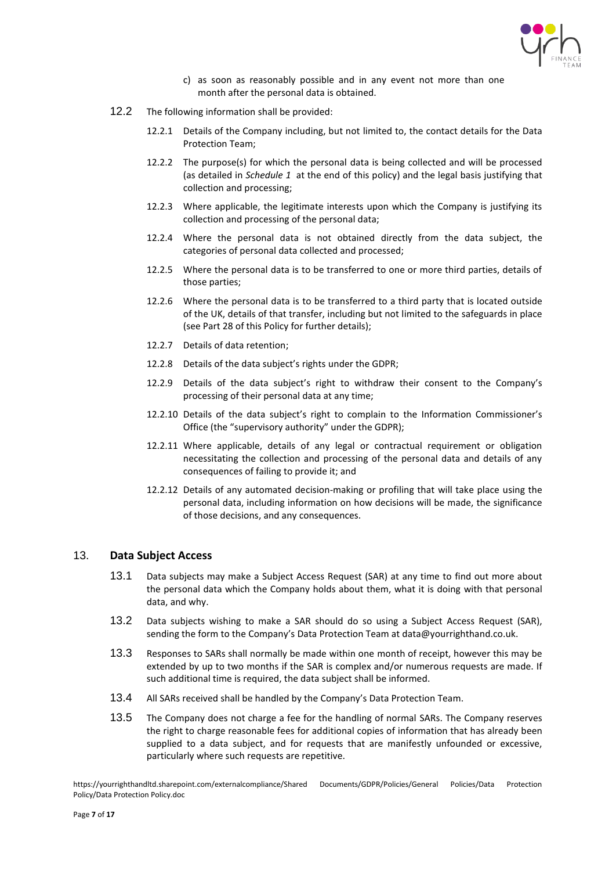

- c) as soon as reasonably possible and in any event not more than one month after the personal data is obtained.
- 12.2 The following information shall be provided:
	- 12.2.1 Details of the Company including, but not limited to, the contact details for the Data Protection Team;
	- 12.2.2 The purpose(s) for which the personal data is being collected and will be processed (as detailed in *Schedule 1* at the end of this policy) and the legal basis justifying that collection and processing;
	- 12.2.3 Where applicable, the legitimate interests upon which the Company is justifying its collection and processing of the personal data;
	- 12.2.4 Where the personal data is not obtained directly from the data subject, the categories of personal data collected and processed;
	- 12.2.5 Where the personal data is to be transferred to one or more third parties, details of those parties;
	- 12.2.6 Where the personal data is to be transferred to a third party that is located outside of the UK, details of that transfer, including but not limited to the safeguards in place (see Part 28 of this Policy for further details);
	- 12.2.7 Details of data retention;
	- 12.2.8 Details of the data subject's rights under the GDPR;
	- 12.2.9 Details of the data subject's right to withdraw their consent to the Company's processing of their personal data at any time;
	- 12.2.10 Details of the data subject's right to complain to the Information Commissioner's Office (the "supervisory authority" under the GDPR);
	- 12.2.11 Where applicable, details of any legal or contractual requirement or obligation necessitating the collection and processing of the personal data and details of any consequences of failing to provide it; and
	- 12.2.12 Details of any automated decision-making or profiling that will take place using the personal data, including information on how decisions will be made, the significance of those decisions, and any consequences.

#### <span id="page-6-0"></span>13. **Data Subject Access**

- 13.1 Data subjects may make a Subject Access Request (SAR) at any time to find out more about the personal data which the Company holds about them, what it is doing with that personal data, and why.
- 13.2 Data subjects wishing to make a SAR should do so using a Subject Access Request (SAR), sending the form to the Company's Data Protection Team at data@yourrighthand.co.uk.
- 13.3 Responses to SARs shall normally be made within one month of receipt, however this may be extended by up to two months if the SAR is complex and/or numerous requests are made. If such additional time is required, the data subject shall be informed.
- 13.4 All SARs received shall be handled by the Company's Data Protection Team.
- 13.5 The Company does not charge a fee for the handling of normal SARs. The Company reserves the right to charge reasonable fees for additional copies of information that has already been supplied to a data subject, and for requests that are manifestly unfounded or excessive, particularly where such requests are repetitive.

https://yourrighthandltd.sharepoint.com/externalcompliance/Shared Documents/GDPR/Policies/General Policies/Data Protection Policy/Data Protection Policy.doc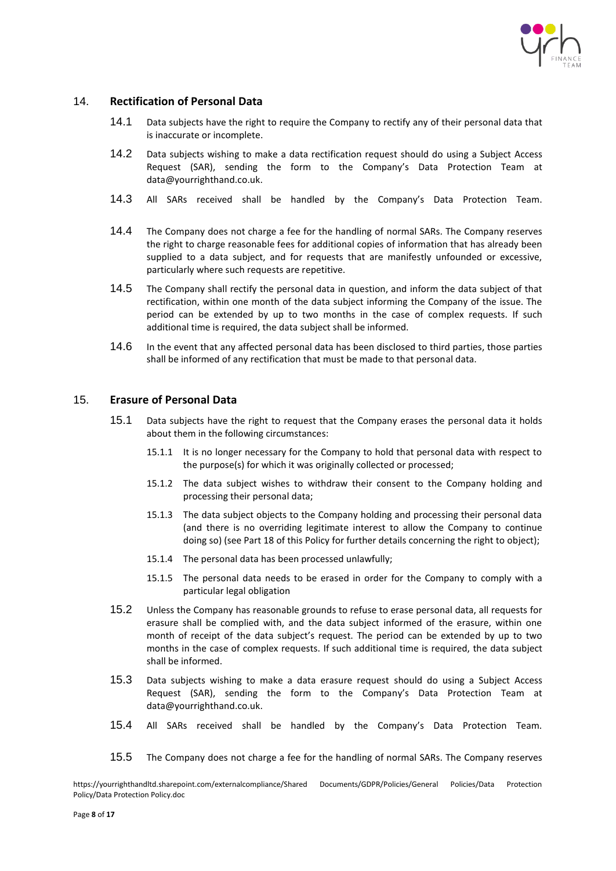

## <span id="page-7-0"></span>14. **Rectification of Personal Data**

- 14.1 Data subjects have the right to require the Company to rectify any of their personal data that is inaccurate or incomplete.
- 14.2 Data subjects wishing to make a data rectification request should do using a Subject Access Request (SAR), sending the form to the Company's Data Protection Team at [data@yourrighthand.co.uk.](mailto:data@yourrighthand.co.uk)
- 14.3 All SARs received shall be handled by the Company's Data Protection Team.
- 14.4 The Company does not charge a fee for the handling of normal SARs. The Company reserves the right to charge reasonable fees for additional copies of information that has already been supplied to a data subject, and for requests that are manifestly unfounded or excessive, particularly where such requests are repetitive.
- 14.5 The Company shall rectify the personal data in question, and inform the data subject of that rectification, within one month of the data subject informing the Company of the issue. The period can be extended by up to two months in the case of complex requests. If such additional time is required, the data subject shall be informed.
- 14.6 In the event that any affected personal data has been disclosed to third parties, those parties shall be informed of any rectification that must be made to that personal data.

#### <span id="page-7-1"></span>15. **Erasure of Personal Data**

- 15.1 Data subjects have the right to request that the Company erases the personal data it holds about them in the following circumstances:
	- 15.1.1 It is no longer necessary for the Company to hold that personal data with respect to the purpose(s) for which it was originally collected or processed;
	- 15.1.2 The data subject wishes to withdraw their consent to the Company holding and processing their personal data;
	- 15.1.3 The data subject objects to the Company holding and processing their personal data (and there is no overriding legitimate interest to allow the Company to continue doing so) (see Part 18 of this Policy for further details concerning the right to object);
	- 15.1.4 The personal data has been processed unlawfully;
	- 15.1.5 The personal data needs to be erased in order for the Company to comply with a particular legal obligation
- 15.2 Unless the Company has reasonable grounds to refuse to erase personal data, all requests for erasure shall be complied with, and the data subject informed of the erasure, within one month of receipt of the data subject's request. The period can be extended by up to two months in the case of complex requests. If such additional time is required, the data subject shall be informed.
- 15.3 Data subjects wishing to make a data erasure request should do using a Subject Access Request (SAR), sending the form to the Company's Data Protection Team at [data@yourrighthand.co.uk.](mailto:data@yourrighthand.co.uk)
- 15.4 All SARs received shall be handled by the Company's Data Protection Team.
- 15.5 The Company does not charge a fee for the handling of normal SARs. The Company reserves

https://yourrighthandltd.sharepoint.com/externalcompliance/Shared Documents/GDPR/Policies/General Policies/Data Protection Policy/Data Protection Policy.doc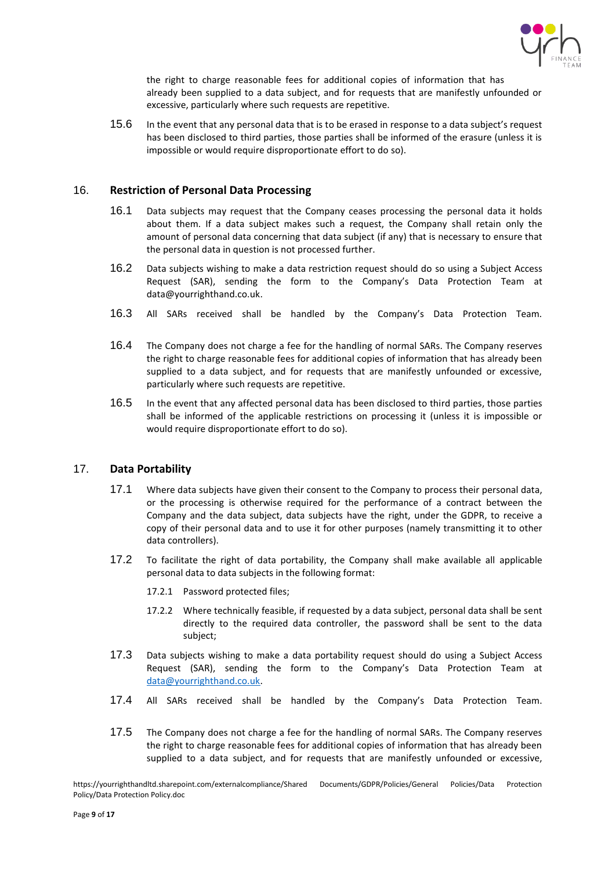

the right to charge reasonable fees for additional copies of information that has already been supplied to a data subject, and for requests that are manifestly unfounded or excessive, particularly where such requests are repetitive.

15.6 In the event that any personal data that is to be erased in response to a data subject's request has been disclosed to third parties, those parties shall be informed of the erasure (unless it is impossible or would require disproportionate effort to do so).

## <span id="page-8-0"></span>16. **Restriction of Personal Data Processing**

- 16.1 Data subjects may request that the Company ceases processing the personal data it holds about them. If a data subject makes such a request, the Company shall retain only the amount of personal data concerning that data subject (if any) that is necessary to ensure that the personal data in question is not processed further.
- 16.2 Data subjects wishing to make a data restriction request should do so using a Subject Access Request (SAR), sending the form to the Company's Data Protection Team at [data@yourrighthand.co.uk.](mailto:data@yourrighthand.co.uk)
- 16.3 All SARs received shall be handled by the Company's Data Protection Team.
- 16.4 The Company does not charge a fee for the handling of normal SARs. The Company reserves the right to charge reasonable fees for additional copies of information that has already been supplied to a data subject, and for requests that are manifestly unfounded or excessive, particularly where such requests are repetitive.
- 16.5 In the event that any affected personal data has been disclosed to third parties, those parties shall be informed of the applicable restrictions on processing it (unless it is impossible or would require disproportionate effort to do so).

## <span id="page-8-1"></span>17. **Data Portability**

- 17.1 Where data subjects have given their consent to the Company to process their personal data, or the processing is otherwise required for the performance of a contract between the Company and the data subject, data subjects have the right, under the GDPR, to receive a copy of their personal data and to use it for other purposes (namely transmitting it to other data controllers).
- 17.2 To facilitate the right of data portability, the Company shall make available all applicable personal data to data subjects in the following format:
	- 17.2.1 Password protected files;
	- 17.2.2 Where technically feasible, if requested by a data subject, personal data shall be sent directly to the required data controller, the password shall be sent to the data subject;
- 17.3 Data subjects wishing to make a data portability request should do using a Subject Access Request (SAR), sending the form to the Company's Data Protection Team at [data@yourrighthand.co.uk.](mailto:data@yourrighthand.co.uk)
- 17.4 All SARs received shall be handled by the Company's Data Protection Team.
- 17.5 The Company does not charge a fee for the handling of normal SARs. The Company reserves the right to charge reasonable fees for additional copies of information that has already been supplied to a data subject, and for requests that are manifestly unfounded or excessive,

https://yourrighthandltd.sharepoint.com/externalcompliance/Shared Documents/GDPR/Policies/General Policies/Data Protection Policy/Data Protection Policy.doc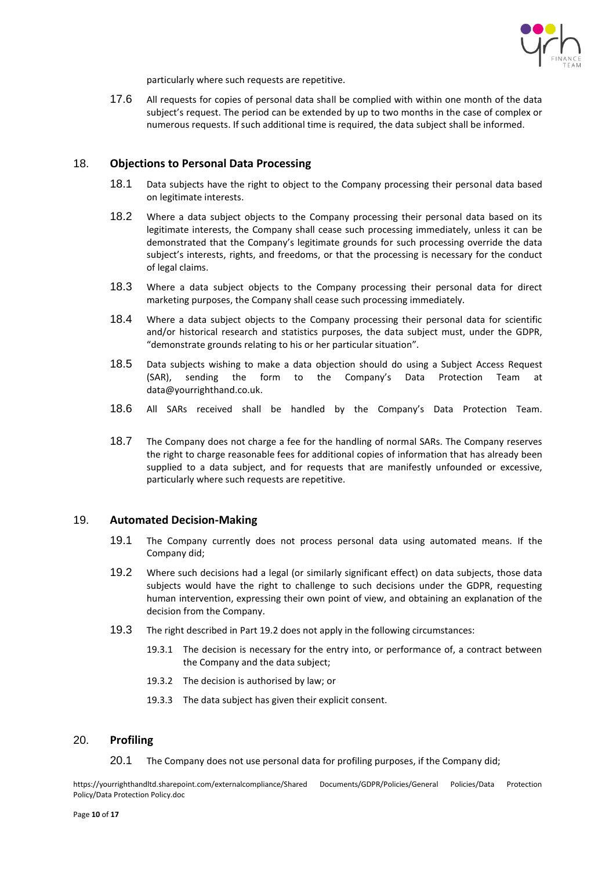

particularly where such requests are repetitive.

17.6 All requests for copies of personal data shall be complied with within one month of the data subject's request. The period can be extended by up to two months in the case of complex or numerous requests. If such additional time is required, the data subject shall be informed.

## <span id="page-9-0"></span>18. **Objections to Personal Data Processing**

- 18.1 Data subjects have the right to object to the Company processing their personal data based on legitimate interests.
- 18.2 Where a data subject objects to the Company processing their personal data based on its legitimate interests, the Company shall cease such processing immediately, unless it can be demonstrated that the Company's legitimate grounds for such processing override the data subject's interests, rights, and freedoms, or that the processing is necessary for the conduct of legal claims.
- 18.3 Where a data subject objects to the Company processing their personal data for direct marketing purposes, the Company shall cease such processing immediately.
- 18.4 Where a data subject objects to the Company processing their personal data for scientific and/or historical research and statistics purposes, the data subject must, under the GDPR, "demonstrate grounds relating to his or her particular situation".
- 18.5 Data subjects wishing to make a data objection should do using a Subject Access Request (SAR), sending the form to the Company's Data Protection Team at [data@yourrighthand.co.uk.](mailto:data@yourrighthand.co.uk)
- 18.6 All SARs received shall be handled by the Company's Data Protection Team.
- 18.7 The Company does not charge a fee for the handling of normal SARs. The Company reserves the right to charge reasonable fees for additional copies of information that has already been supplied to a data subject, and for requests that are manifestly unfounded or excessive, particularly where such requests are repetitive.

#### <span id="page-9-1"></span>19. **Automated Decision-Making**

- 19.1 The Company currently does not process personal data using automated means. If the Company did;
- 19.2 Where such decisions had a legal (or similarly significant effect) on data subjects, those data subjects would have the right to challenge to such decisions under the GDPR, requesting human intervention, expressing their own point of view, and obtaining an explanation of the decision from the Company.
- 19.3 The right described in Part 19.2 does not apply in the following circumstances:
	- 19.3.1 The decision is necessary for the entry into, or performance of, a contract between the Company and the data subject;
	- 19.3.2 The decision is authorised by law; or
	- 19.3.3 The data subject has given their explicit consent.

#### <span id="page-9-2"></span>20. **Profiling**

20.1 The Company does not use personal data for profiling purposes, if the Company did;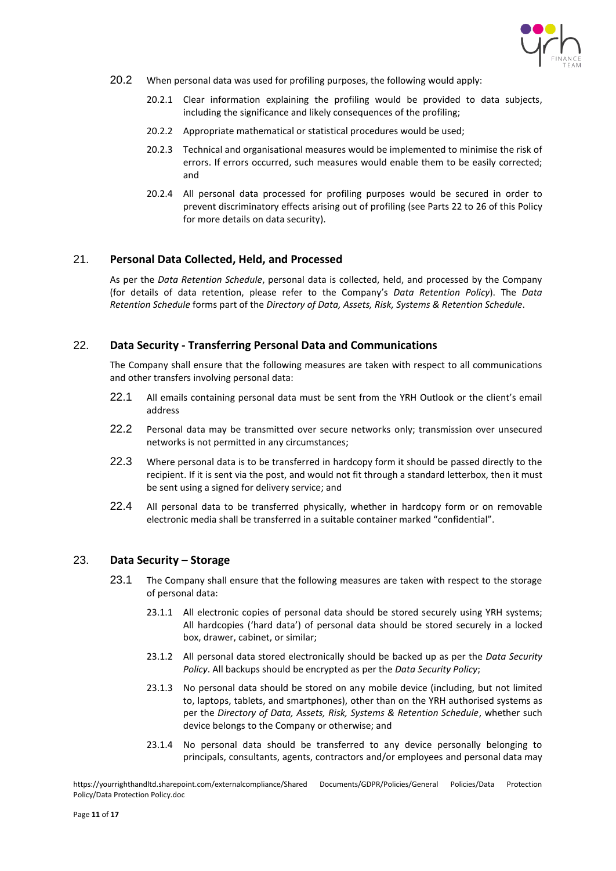

- 20.2 When personal data was used for profiling purposes, the following would apply:
	- 20.2.1 Clear information explaining the profiling would be provided to data subjects, including the significance and likely consequences of the profiling;
	- 20.2.2 Appropriate mathematical or statistical procedures would be used;
	- 20.2.3 Technical and organisational measures would be implemented to minimise the risk of errors. If errors occurred, such measures would enable them to be easily corrected; and
	- 20.2.4 All personal data processed for profiling purposes would be secured in order to prevent discriminatory effects arising out of profiling (see Parts 22 to 26 of this Policy for more details on data security).

## <span id="page-10-0"></span>21. **Personal Data Collected, Held, and Processed**

As per the *Data Retention Schedule*, personal data is collected, held, and processed by the Company (for details of data retention, please refer to the Company's *Data Retention Policy*). The *Data Retention Schedule* forms part of the *Directory of Data, Assets, Risk, Systems & Retention Schedule*.

## <span id="page-10-1"></span>22. **Data Security - Transferring Personal Data and Communications**

The Company shall ensure that the following measures are taken with respect to all communications and other transfers involving personal data:

- 22.1 All emails containing personal data must be sent from the YRH Outlook or the client's email address
- 22.2 Personal data may be transmitted over secure networks only; transmission over unsecured networks is not permitted in any circumstances;
- 22.3 Where personal data is to be transferred in hardcopy form it should be passed directly to the recipient. If it is sent via the post, and would not fit through a standard letterbox, then it must be sent using a signed for delivery service; and
- 22.4 All personal data to be transferred physically, whether in hardcopy form or on removable electronic media shall be transferred in a suitable container marked "confidential".

## <span id="page-10-2"></span>23. **Data Security – Storage**

- 23.1 The Company shall ensure that the following measures are taken with respect to the storage of personal data:
	- 23.1.1 All electronic copies of personal data should be stored securely using YRH systems; All hardcopies ('hard data') of personal data should be stored securely in a locked box, drawer, cabinet, or similar;
	- 23.1.2 All personal data stored electronically should be backed up as per the *Data Security Policy*. All backups should be encrypted as per the *Data Security Policy*;
	- 23.1.3 No personal data should be stored on any mobile device (including, but not limited to, laptops, tablets, and smartphones), other than on the YRH authorised systems as per the *Directory of Data, Assets, Risk, Systems & Retention Schedule*, whether such device belongs to the Company or otherwise; and
	- 23.1.4 No personal data should be transferred to any device personally belonging to principals, consultants, agents, contractors and/or employees and personal data may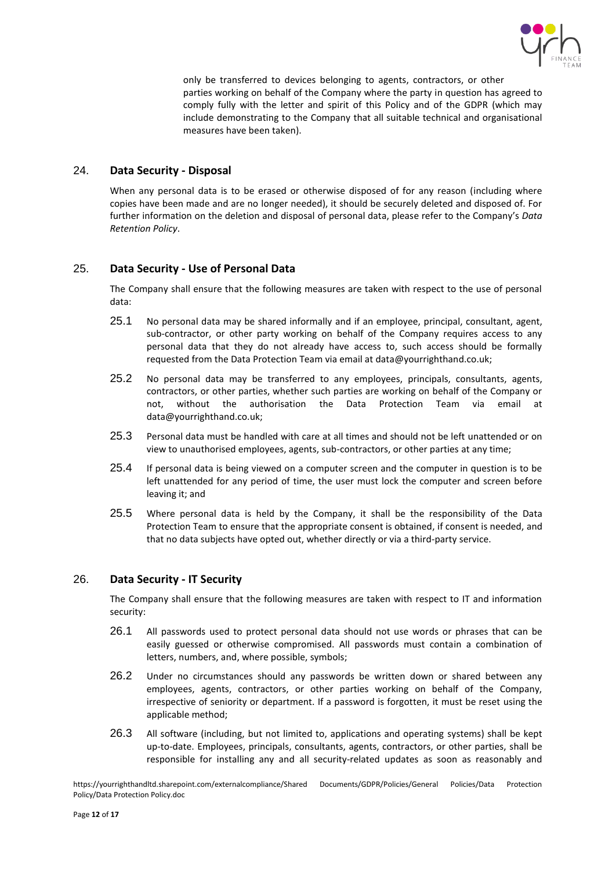

only be transferred to devices belonging to agents, contractors, or other parties working on behalf of the Company where the party in question has agreed to comply fully with the letter and spirit of this Policy and of the GDPR (which may include demonstrating to the Company that all suitable technical and organisational measures have been taken).

## <span id="page-11-0"></span>24. **Data Security - Disposal**

When any personal data is to be erased or otherwise disposed of for any reason (including where copies have been made and are no longer needed), it should be securely deleted and disposed of. For further information on the deletion and disposal of personal data, please refer to the Company's *Data Retention Policy*.

## <span id="page-11-1"></span>25. **Data Security - Use of Personal Data**

The Company shall ensure that the following measures are taken with respect to the use of personal data:

- 25.1 No personal data may be shared informally and if an employee, principal, consultant, agent, sub-contractor, or other party working on behalf of the Company requires access to any personal data that they do not already have access to, such access should be formally requested from the Data Protection Team via email at data@yourrighthand.co.uk;
- 25.2 No personal data may be transferred to any employees, principals, consultants, agents, contractors, or other parties, whether such parties are working on behalf of the Company or not, without the authorisation the Data Protection Team via email at data@yourrighthand.co.uk;
- 25.3 Personal data must be handled with care at all times and should not be left unattended or on view to unauthorised employees, agents, sub-contractors, or other parties at any time;
- 25.4 If personal data is being viewed on a computer screen and the computer in question is to be left unattended for any period of time, the user must lock the computer and screen before leaving it; and
- 25.5 Where personal data is held by the Company, it shall be the responsibility of the Data Protection Team to ensure that the appropriate consent is obtained, if consent is needed, and that no data subjects have opted out, whether directly or via a third-party service.

## <span id="page-11-2"></span>26. **Data Security - IT Security**

The Company shall ensure that the following measures are taken with respect to IT and information security:

- 26.1 All passwords used to protect personal data should not use words or phrases that can be easily guessed or otherwise compromised. All passwords must contain a combination of letters, numbers, and, where possible, symbols;
- 26.2 Under no circumstances should any passwords be written down or shared between any employees, agents, contractors, or other parties working on behalf of the Company, irrespective of seniority or department. If a password is forgotten, it must be reset using the applicable method;
- 26.3 All software (including, but not limited to, applications and operating systems) shall be kept up-to-date. Employees, principals, consultants, agents, contractors, or other parties, shall be responsible for installing any and all security-related updates as soon as reasonably and

https://yourrighthandltd.sharepoint.com/externalcompliance/Shared Documents/GDPR/Policies/General Policies/Data Protection Policy/Data Protection Policy.doc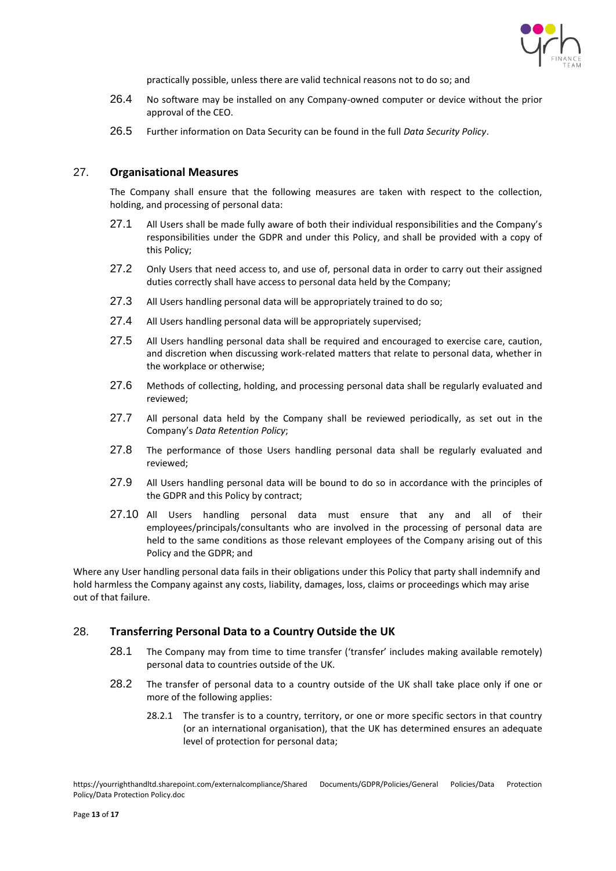

practically possible, unless there are valid technical reasons not to do so; and

- 26.4 No software may be installed on any Company-owned computer or device without the prior approval of the CEO.
- 26.5 Further information on Data Security can be found in the full *Data Security Policy*.

## <span id="page-12-0"></span>27. **Organisational Measures**

The Company shall ensure that the following measures are taken with respect to the collection, holding, and processing of personal data:

- 27.1 All Users shall be made fully aware of both their individual responsibilities and the Company's responsibilities under the GDPR and under this Policy, and shall be provided with a copy of this Policy;
- 27.2 Only Users that need access to, and use of, personal data in order to carry out their assigned duties correctly shall have access to personal data held by the Company;
- 27.3 All Users handling personal data will be appropriately trained to do so;
- 27.4 All Users handling personal data will be appropriately supervised;
- 27.5 All Users handling personal data shall be required and encouraged to exercise care, caution, and discretion when discussing work-related matters that relate to personal data, whether in the workplace or otherwise;
- 27.6 Methods of collecting, holding, and processing personal data shall be regularly evaluated and reviewed;
- 27.7 All personal data held by the Company shall be reviewed periodically, as set out in the Company's *Data Retention Policy*;
- 27.8 The performance of those Users handling personal data shall be regularly evaluated and reviewed;
- 27.9 All Users handling personal data will be bound to do so in accordance with the principles of the GDPR and this Policy by contract;
- 27.10 All Users handling personal data must ensure that any and all of their employees/principals/consultants who are involved in the processing of personal data are held to the same conditions as those relevant employees of the Company arising out of this Policy and the GDPR; and

Where any User handling personal data fails in their obligations under this Policy that party shall indemnify and hold harmless the Company against any costs, liability, damages, loss, claims or proceedings which may arise out of that failure.

#### <span id="page-12-1"></span>28. **Transferring Personal Data to a Country Outside the UK**

- 28.1 The Company may from time to time transfer ('transfer' includes making available remotely) personal data to countries outside of the UK.
- 28.2 The transfer of personal data to a country outside of the UK shall take place only if one or more of the following applies:
	- 28.2.1 The transfer is to a country, territory, or one or more specific sectors in that country (or an international organisation), that the UK has determined ensures an adequate level of protection for personal data;

https://yourrighthandltd.sharepoint.com/externalcompliance/Shared Documents/GDPR/Policies/General Policies/Data Protection Policy/Data Protection Policy.doc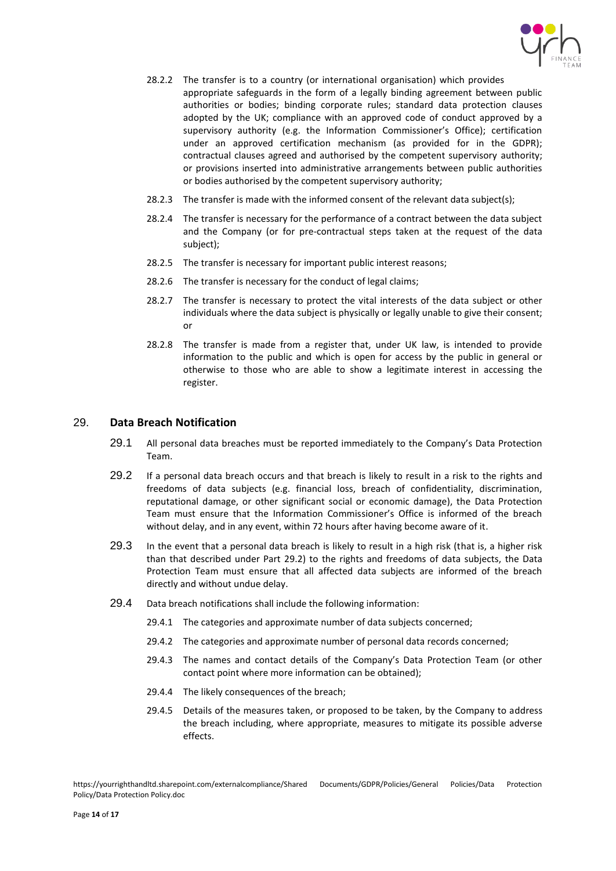

- 28.2.2 The transfer is to a country (or international organisation) which provides appropriate safeguards in the form of a legally binding agreement between public authorities or bodies; binding corporate rules; standard data protection clauses adopted by the UK; compliance with an approved code of conduct approved by a supervisory authority (e.g. the Information Commissioner's Office); certification under an approved certification mechanism (as provided for in the GDPR); contractual clauses agreed and authorised by the competent supervisory authority; or provisions inserted into administrative arrangements between public authorities or bodies authorised by the competent supervisory authority;
- 28.2.3 The transfer is made with the informed consent of the relevant data subject(s);
- 28.2.4 The transfer is necessary for the performance of a contract between the data subject and the Company (or for pre-contractual steps taken at the request of the data subject);
- 28.2.5 The transfer is necessary for important public interest reasons;
- 28.2.6 The transfer is necessary for the conduct of legal claims;
- 28.2.7 The transfer is necessary to protect the vital interests of the data subject or other individuals where the data subject is physically or legally unable to give their consent; or
- 28.2.8 The transfer is made from a register that, under UK law, is intended to provide information to the public and which is open for access by the public in general or otherwise to those who are able to show a legitimate interest in accessing the register.

#### <span id="page-13-0"></span>29. **Data Breach Notification**

- 29.1 All personal data breaches must be reported immediately to the Company's Data Protection Team.
- 29.2 If a personal data breach occurs and that breach is likely to result in a risk to the rights and freedoms of data subjects (e.g. financial loss, breach of confidentiality, discrimination, reputational damage, or other significant social or economic damage), the Data Protection Team must ensure that the Information Commissioner's Office is informed of the breach without delay, and in any event, within 72 hours after having become aware of it.
- 29.3 In the event that a personal data breach is likely to result in a high risk (that is, a higher risk than that described under Part 29.2) to the rights and freedoms of data subjects, the Data Protection Team must ensure that all affected data subjects are informed of the breach directly and without undue delay.
- 29.4 Data breach notifications shall include the following information:
	- 29.4.1 The categories and approximate number of data subjects concerned;
	- 29.4.2 The categories and approximate number of personal data records concerned;
	- 29.4.3 The names and contact details of the Company's Data Protection Team (or other contact point where more information can be obtained);
	- 29.4.4 The likely consequences of the breach;
	- 29.4.5 Details of the measures taken, or proposed to be taken, by the Company to address the breach including, where appropriate, measures to mitigate its possible adverse effects.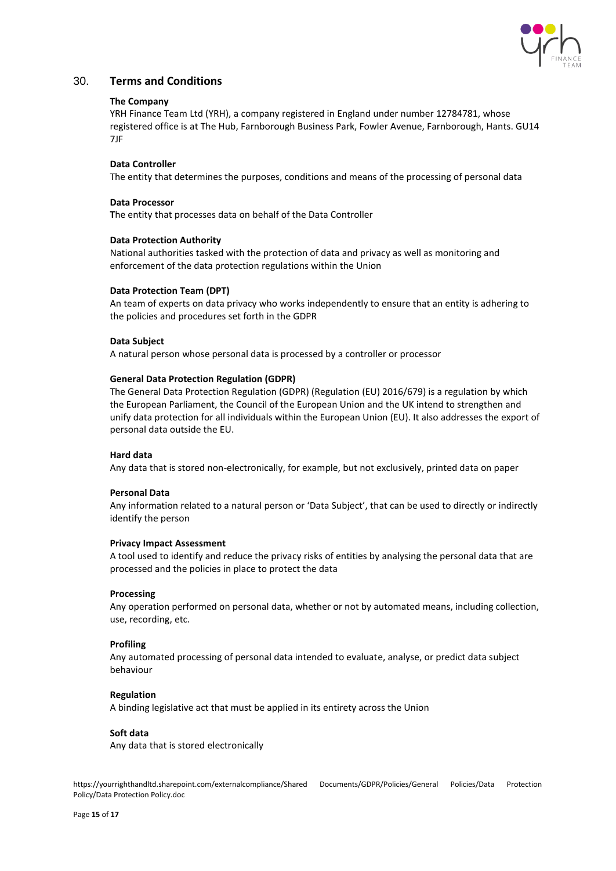

## <span id="page-14-0"></span>30. **Terms and Conditions**

#### **The Company**

YRH Finance Team Ltd (YRH), a company registered in England under number 12784781, whose registered office is at The Hub, Farnborough Business Park, Fowler Avenue, Farnborough, Hants. GU14 7JF

#### **Data Controller**

The entity that determines the purposes, conditions and means of the processing of personal data

#### **Data Processor**

**T**he entity that processes data on behalf of the Data Controller

#### **Data Protection Authority**

National authorities tasked with the protection of data and privacy as well as monitoring and enforcement of the data protection regulations within the Union

#### **Data Protection Team (DPT)**

An team of experts on data privacy who works independently to ensure that an entity is adhering to the policies and procedures set forth in the GDPR

#### **Data Subject**

A natural person whose personal data is processed by a controller or processor

#### **General Data Protection Regulation (GDPR)**

The General Data Protection Regulation (GDPR) (Regulation (EU) 2016/679) is a regulation by which the European Parliament, the Council of the European Union and the UK intend to strengthen and unify data protection for all individuals within the European Union (EU). It also addresses the export of personal data outside the EU.

#### **Hard data**

Any data that is stored non-electronically, for example, but not exclusively, printed data on paper

#### **Personal Data**

Any information related to a natural person or 'Data Subject', that can be used to directly or indirectly identify the person

#### **Privacy Impact Assessment**

A tool used to identify and reduce the privacy risks of entities by analysing the personal data that are processed and the policies in place to protect the data

#### **Processing**

Any operation performed on personal data, whether or not by automated means, including collection, use, recording, etc.

#### **Profiling**

Any automated processing of personal data intended to evaluate, analyse, or predict data subject behaviour

#### **Regulation**

A binding legislative act that must be applied in its entirety across the Union

#### **Soft data**

Any data that is stored electronically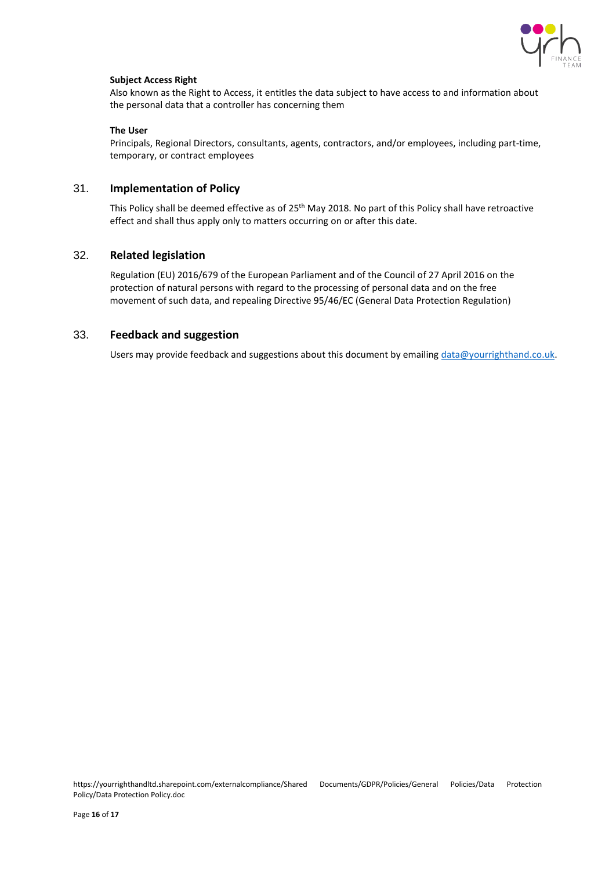

#### **Subject Access Right**

Also known as the Right to Access, it entitles the data subject to have access to and information about the personal data that a controller has concerning them

#### **The User**

Principals, Regional Directors, consultants, agents, contractors, and/or employees, including part-time, temporary, or contract employees

## <span id="page-15-0"></span>31. **Implementation of Policy**

This Policy shall be deemed effective as of 25<sup>th</sup> May 2018. No part of this Policy shall have retroactive effect and shall thus apply only to matters occurring on or after this date.

## <span id="page-15-1"></span>32. **Related legislation**

[Regulation \(EU\) 2016/679 of the European Parliament and of the Council of 27 April 2016 on](http://eur-lex.europa.eu/legal-content/EN/TXT/?uri=CELEX%3A32016R0679) the [protection of natural persons with regard to the processing of](http://eur-lex.europa.eu/legal-content/EN/TXT/?uri=CELEX%3A32016R0679) personal data and on the free [movement of such data, and repealing Directive 95/46/EC \(General Data Protection Regulation\)](http://eur-lex.europa.eu/legal-content/EN/TXT/?uri=CELEX%3A32016R0679)

## <span id="page-15-2"></span>33. **Feedback and suggestion**

Users may provide feedback and suggestions about this document by emailing [data@yourrighthand.co.uk.](mailto:data@yourrighthand.co.uk)